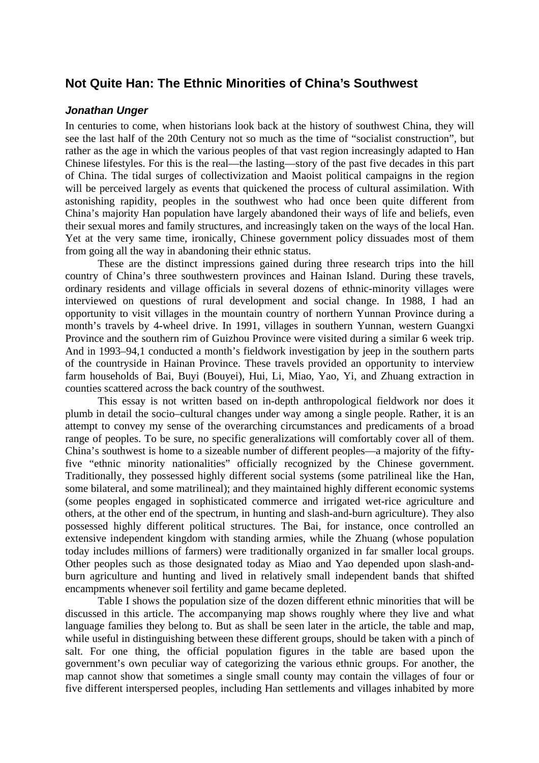# **Not Quite Han: The Ethnic Minorities of China's Southwest**

## *Jonathan Unger*

In centuries to come, when historians look back at the history of southwest China, they will see the last half of the 20th Century not so much as the time of "socialist construction", but rather as the age in which the various peoples of that vast region increasingly adapted to Han Chinese lifestyles. For this is the real—the lasting—story of the past five decades in this part of China. The tidal surges of collectivization and Maoist political campaigns in the region will be perceived largely as events that quickened the process of cultural assimilation. With astonishing rapidity, peoples in the southwest who had once been quite different from China's majority Han population have largely abandoned their ways of life and beliefs, even their sexual mores and family structures, and increasingly taken on the ways of the local Han. Yet at the very same time, ironically, Chinese government policy dissuades most of them from going all the way in abandoning their ethnic status.

These are the distinct impressions gained during three research trips into the hill country of China's three southwestern provinces and Hainan Island. During these travels, ordinary residents and village officials in several dozens of ethnic-minority villages were interviewed on questions of rural development and social change. In 1988, I had an opportunity to visit villages in the mountain country of northern Yunnan Province during a month's travels by 4-wheel drive. In 1991, villages in southern Yunnan, western Guangxi Province and the southern rim of Guizhou Province were visited during a similar 6 week trip. And in 1993–94,1 conducted a month's fieldwork investigation by jeep in the southern parts of the countryside in Hainan Province. These travels provided an opportunity to interview farm households of Bai, Buyi (Bouyei), Hui, Li, Miao, Yao, Yi, and Zhuang extraction in counties scattered across the back country of the southwest.

This essay is not written based on in-depth anthropological fieldwork nor does it plumb in detail the socio–cultural changes under way among a single people. Rather, it is an attempt to convey my sense of the overarching circumstances and predicaments of a broad range of peoples. To be sure, no specific generalizations will comfortably cover all of them. China's southwest is home to a sizeable number of different peoples—a majority of the fiftyfive "ethnic minority nationalities" officially recognized by the Chinese government. Traditionally, they possessed highly different social systems (some patrilineal like the Han, some bilateral, and some matrilineal); and they maintained highly different economic systems (some peoples engaged in sophisticated commerce and irrigated wet-rice agriculture and others, at the other end of the spectrum, in hunting and slash-and-burn agriculture). They also possessed highly different political structures. The Bai, for instance, once controlled an extensive independent kingdom with standing armies, while the Zhuang (whose population today includes millions of farmers) were traditionally organized in far smaller local groups. Other peoples such as those designated today as Miao and Yao depended upon slash-andburn agriculture and hunting and lived in relatively small independent bands that shifted encampments whenever soil fertility and game became depleted.

Table I shows the population size of the dozen different ethnic minorities that will be discussed in this article. The accompanying map shows roughly where they live and what language families they belong to. But as shall be seen later in the article, the table and map, while useful in distinguishing between these different groups, should be taken with a pinch of salt. For one thing, the official population figures in the table are based upon the government's own peculiar way of categorizing the various ethnic groups. For another, the map cannot show that sometimes a single small county may contain the villages of four or five different interspersed peoples, including Han settlements and villages inhabited by more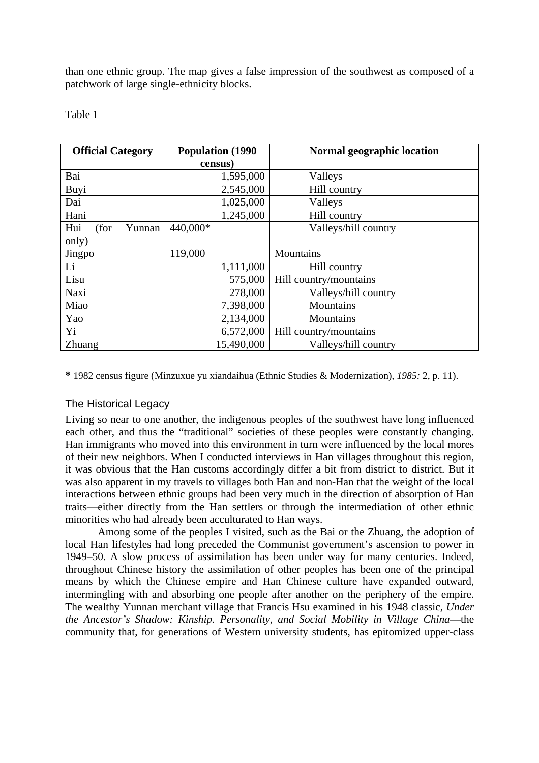than one ethnic group. The map gives a false impression of the southwest as composed of a patchwork of large single-ethnicity blocks.

## Table 1

| <b>Official Category</b> | <b>Population (1990)</b> | <b>Normal geographic location</b> |
|--------------------------|--------------------------|-----------------------------------|
|                          | census)                  |                                   |
| Bai                      | 1,595,000                | Valleys                           |
| Buyi                     | 2,545,000                | Hill country                      |
| Dai                      | 1,025,000                | Valleys                           |
| Hani                     | 1,245,000                | Hill country                      |
| Hui<br>(for<br>Yunnan    | 440,000*                 | Valleys/hill country              |
| only)                    |                          |                                   |
| Jingpo                   | 119,000                  | Mountains                         |
| Li                       | 1,111,000                | Hill country                      |
| Lisu                     | 575,000                  | Hill country/mountains            |
| Naxi                     | 278,000                  | Valleys/hill country              |
| Miao                     | 7,398,000                | Mountains                         |
| Yao                      | 2,134,000                | Mountains                         |
| Yi                       | 6,572,000                | Hill country/mountains            |
| Zhuang                   | 15,490,000               | Valleys/hill country              |

**\*** 1982 census figure (Minzuxue yu xiandaihua (Ethnic Studies & Modernization), *1985:* 2, p. 11).

## The Historical Legacy

Living so near to one another, the indigenous peoples of the southwest have long influenced each other, and thus the "traditional" societies of these peoples were constantly changing. Han immigrants who moved into this environment in turn were influenced by the local mores of their new neighbors. When I conducted interviews in Han villages throughout this region, it was obvious that the Han customs accordingly differ a bit from district to district. But it was also apparent in my travels to villages both Han and non-Han that the weight of the local interactions between ethnic groups had been very much in the direction of absorption of Han traits—either directly from the Han settlers or through the intermediation of other ethnic minorities who had already been acculturated to Han ways.

Among some of the peoples I visited, such as the Bai or the Zhuang, the adoption of local Han lifestyles had long preceded the Communist government's ascension to power in 1949–50. A slow process of assimilation has been under way for many centuries. Indeed, throughout Chinese history the assimilation of other peoples has been one of the principal means by which the Chinese empire and Han Chinese culture have expanded outward, intermingling with and absorbing one people after another on the periphery of the empire. The wealthy Yunnan merchant village that Francis Hsu examined in his 1948 classic, *Under the Ancestor's Shadow: Kinship. Personality, and Social Mobility in Village China*—the community that, for generations of Western university students, has epitomized upper-class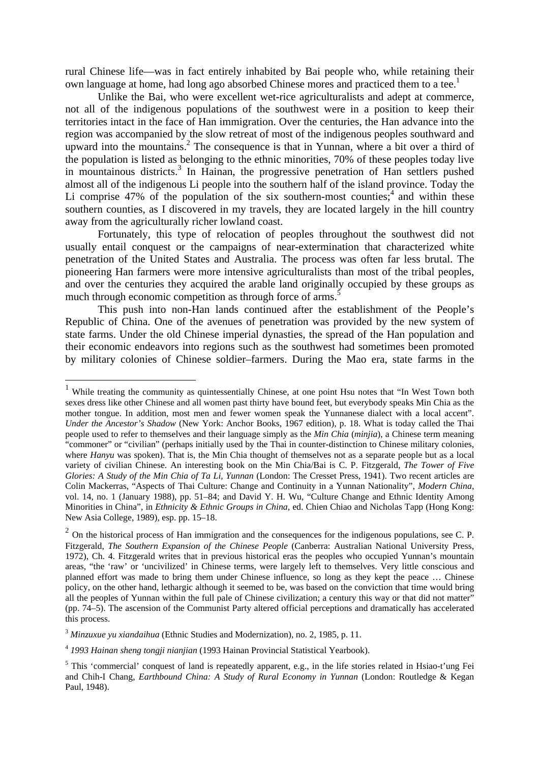rural Chinese life—was in fact entirely inhabited by Bai people who, while retaining their own language at home, had long ago absorbed Chinese mores and practiced them to a tee.<sup>1</sup>

Unlike the Bai, who were excellent wet-rice agriculturalists and adept at commerce, not all of the indigenous populations of the southwest were in a position to keep their territories intact in the face of Han immigration. Over the centuries, the Han advance into the region was accompanied by the slow retreat of most of the indigenous peoples southward and upward into the mountains.<sup>2</sup> The consequence is that in Yunnan, where a bit over a third of the population is listed as belonging to the ethnic minorities, 70% of these peoples today live in mountainous districts.<sup>[3](#page-2-2)</sup> In Hainan, the progressive penetration of Han settlers pushed almost all of the indigenous Li people into the southern half of the island province. Today the Li comprise  $47\%$  $47\%$  of the population of the six southern-most counties;<sup>4</sup> and within these southern counties, as I discovered in my travels, they are located largely in the hill country away from the agriculturally richer lowland coast.

Fortunately, this type of relocation of peoples throughout the southwest did not usually entail conquest or the campaigns of near-extermination that characterized white penetration of the United States and Australia. The process was often far less brutal. The pioneering Han farmers were more intensive agriculturalists than most of the tribal peoples, and over the centuries they acquired the arable land originally occupied by these groups as much through economic competition as through force of arms.<sup>[5](#page-2-4)</sup>

This push into non-Han lands continued after the establishment of the People's Republic of China. One of the avenues of penetration was provided by the new system of state farms. Under the old Chinese imperial dynasties, the spread of the Han population and their economic endeavors into regions such as the southwest had sometimes been promoted by military colonies of Chinese soldier–farmers. During the Mao era, state farms in the

<span id="page-2-0"></span><sup>&</sup>lt;sup>1</sup> While treating the community as quintessentially Chinese, at one point Hsu notes that "In West Town both sexes dress like other Chinese and all women past thirty have bound feet, but everybody speaks Min Chia as the mother tongue. In addition, most men and fewer women speak the Yunnanese dialect with a local accent". *Under the Ancestor's Shadow* (New York: Anchor Books, 1967 edition), p. 18. What is today called the Thai people used to refer to themselves and their language simply as the *Min Chia* (*minjia*), a Chinese term meaning "commoner" or "civilian" (perhaps initially used by the Thai in counter-distinction to Chinese military colonies, where *Hanyu* was spoken). That is, the Min Chia thought of themselves not as a separate people but as a local variety of civilian Chinese. An interesting book on the Min Chia/Bai is C. P. Fitzgerald, *The Tower of Five Glories: A Study of the Min Chia of Ta Li, Yunnan (London: The Cresset Press, 1941). Two recent articles are* Colin Mackerras, "Aspects of Thai Culture: Change and Continuity in a Yunnan Nationality", *Modern China*, vol. 14, no. 1 (January 1988), pp. 51–84; and David Y. H. Wu, "Culture Change and Ethnic Identity Among Minorities in China", in *Ethnicity & Ethnic Groups in China*, ed. Chien Chiao and Nicholas Tapp (Hong Kong: New Asia College, 1989), esp. pp. 15–18.

<span id="page-2-1"></span> $2$  On the historical process of Han immigration and the consequences for the indigenous populations, see C. P. Fitzgerald, *The Southern Expansion of the Chinese People* (Canberra: Australian National University Press, 1972), Ch. 4. Fitzgerald writes that in previous historical eras the peoples who occupied Yunnan's mountain areas, "the 'raw' or 'uncivilized' in Chinese terms, were largely left to themselves. Very little conscious and planned effort was made to bring them under Chinese influence, so long as they kept the peace … Chinese policy, on the other hand, lethargic although it seemed to be, was based on the conviction that time would bring all the peoples of Yunnan within the full pale of Chinese civilization; a century this way or that did not matter" (pp. 74–5). The ascension of the Communist Party altered official perceptions and dramatically has accelerated this process.

<span id="page-2-2"></span><sup>3</sup> *Minzuxue yu xiandaihua* (Ethnic Studies and Modernization), no. 2, 1985, p. 11.

<span id="page-2-3"></span><sup>4</sup> *1993 Hainan sheng tongji nianjian* (1993 Hainan Provincial Statistical Yearbook).

<span id="page-2-4"></span><sup>&</sup>lt;sup>5</sup> This 'commercial' conquest of land is repeatedly apparent, e.g., in the life stories related in Hsiao-t'ung Fei and Chih-I Chang, *Earthbound China: A Study of Rural Economy in Yunnan* (London: Routledge & Kegan Paul, 1948).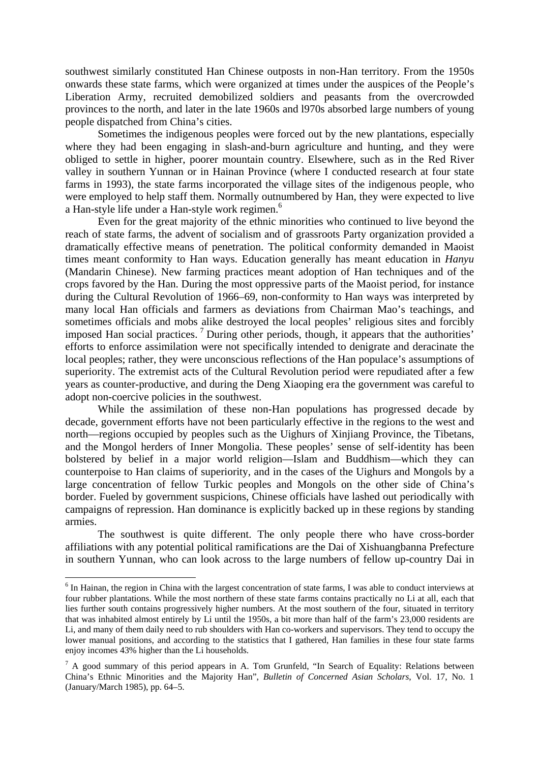southwest similarly constituted Han Chinese outposts in non-Han territory. From the 1950s onwards these state farms, which were organized at times under the auspices of the People's Liberation Army, recruited demobilized soldiers and peasants from the overcrowded provinces to the north, and later in the late 1960s and l970s absorbed large numbers of young people dispatched from China's cities.

Sometimes the indigenous peoples were forced out by the new plantations, especially where they had been engaging in slash-and-burn agriculture and hunting, and they were obliged to settle in higher, poorer mountain country. Elsewhere, such as in the Red River valley in southern Yunnan or in Hainan Province (where I conducted research at four state farms in 1993), the state farms incorporated the village sites of the indigenous people, who were employed to help staff them. Normally outnumbered by Han, they were expected to live a Han-style life under a Han-style work regimen.<sup>6</sup>

Even for the great majority of the ethnic minorities who continued to live beyond the reach of state farms, the advent of socialism and of grassroots Party organization provided a dramatically effective means of penetration. The political conformity demanded in Maoist times meant conformity to Han ways. Education generally has meant education in *Hanyu* (Mandarin Chinese). New farming practices meant adoption of Han techniques and of the crops favored by the Han. During the most oppressive parts of the Maoist period, for instance during the Cultural Revolution of 1966–69, non-conformity to Han ways was interpreted by many local Han officials and farmers as deviations from Chairman Mao's teachings, and sometimes officials and mobs alike destroyed the local peoples' religious sites and forcibly imposed Han social practices.<sup>[7](#page-3-1)</sup> During other periods, though, it appears that the authorities' efforts to enforce assimilation were not specifically intended to denigrate and deracinate the local peoples; rather, they were unconscious reflections of the Han populace's assumptions of superiority. The extremist acts of the Cultural Revolution period were repudiated after a few years as counter-productive, and during the Deng Xiaoping era the government was careful to adopt non-coercive policies in the southwest.

While the assimilation of these non-Han populations has progressed decade by decade, government efforts have not been particularly effective in the regions to the west and north—regions occupied by peoples such as the Uighurs of Xinjiang Province, the Tibetans, and the Mongol herders of Inner Mongolia. These peoples' sense of self-identity has been bolstered by belief in a major world religion—Islam and Buddhism—which they can counterpoise to Han claims of superiority, and in the cases of the Uighurs and Mongols by a large concentration of fellow Turkic peoples and Mongols on the other side of China's border. Fueled by government suspicions, Chinese officials have lashed out periodically with campaigns of repression. Han dominance is explicitly backed up in these regions by standing armies.

The southwest is quite different. The only people there who have cross-border affiliations with any potential political ramifications are the Dai of Xishuangbanna Prefecture in southern Yunnan, who can look across to the large numbers of fellow up-country Dai in

<span id="page-3-0"></span> $6$  In Hainan, the region in China with the largest concentration of state farms, I was able to conduct interviews at four rubber plantations. While the most northern of these state farms contains practically no Li at all, each that lies further south contains progressively higher numbers. At the most southern of the four, situated in territory that was inhabited almost entirely by Li until the 1950s, a bit more than half of the farm's 23,000 residents are Li, and many of them daily need to rub shoulders with Han co-workers and supervisors. They tend to occupy the lower manual positions, and according to the statistics that I gathered, Han families in these four state farms enjoy incomes 43% higher than the Li households.

<span id="page-3-1"></span> $<sup>7</sup>$  A good summary of this period appears in A. Tom Grunfeld, "In Search of Equality: Relations between</sup> China's Ethnic Minorities and the Majority Han", *Bulletin of Concerned Asian Scholars*, Vol. 17, No. 1 (January/March 1985), pp. 64–5.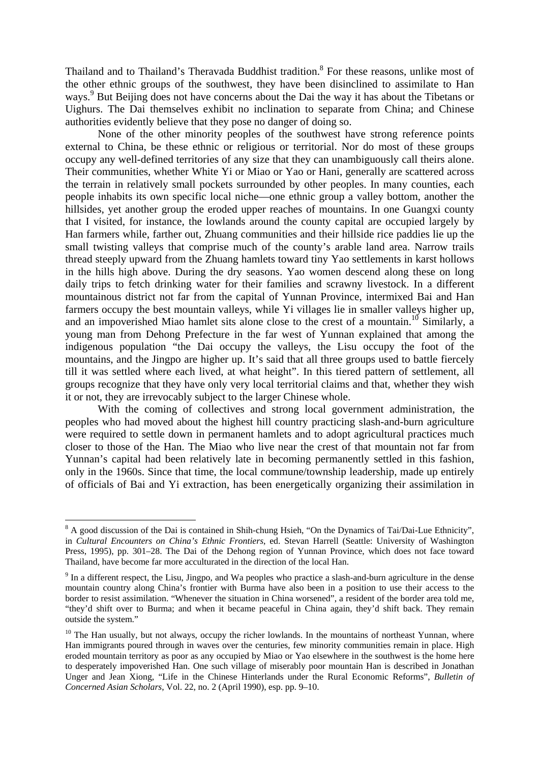Thailand and to Thailand's Theravada Buddhist tradition.<sup>8</sup> For these reasons, unlike most of the other ethnic groups of the southwest, they have been disinclined to assimilate to Han ways.<sup>[9](#page-4-1)</sup> But Beijing does not have concerns about the Dai the way it has about the Tibetans or Uighurs. The Dai themselves exhibit no inclination to separate from China; and Chinese authorities evidently believe that they pose no danger of doing so.

None of the other minority peoples of the southwest have strong reference points external to China, be these ethnic or religious or territorial. Nor do most of these groups occupy any well-defined territories of any size that they can unambiguously call theirs alone. Their communities, whether White Yi or Miao or Yao or Hani, generally are scattered across the terrain in relatively small pockets surrounded by other peoples. In many counties, each people inhabits its own specific local niche—one ethnic group a valley bottom, another the hillsides, yet another group the eroded upper reaches of mountains. In one Guangxi county that I visited, for instance, the lowlands around the county capital are occupied largely by Han farmers while, farther out, Zhuang communities and their hillside rice paddies lie up the small twisting valleys that comprise much of the county's arable land area. Narrow trails thread steeply upward from the Zhuang hamlets toward tiny Yao settlements in karst hollows in the hills high above. During the dry seasons. Yao women descend along these on long daily trips to fetch drinking water for their families and scrawny livestock. In a different mountainous district not far from the capital of Yunnan Province, intermixed Bai and Han farmers occupy the best mountain valleys, while Yi villages lie in smaller valleys higher up, and an impoverished Miao hamlet sits alone close to the crest of a mountain.<sup>10</sup> Similarly, a young man from Dehong Prefecture in the far west of Yunnan explained that among the indigenous population "the Dai occupy the valleys, the Lisu occupy the foot of the mountains, and the Jingpo are higher up. It's said that all three groups used to battle fiercely till it was settled where each lived, at what height". In this tiered pattern of settlement, all groups recognize that they have only very local territorial claims and that, whether they wish it or not, they are irrevocably subject to the larger Chinese whole.

With the coming of collectives and strong local government administration, the peoples who had moved about the highest hill country practicing slash-and-burn agriculture were required to settle down in permanent hamlets and to adopt agricultural practices much closer to those of the Han. The Miao who live near the crest of that mountain not far from Yunnan's capital had been relatively late in becoming permanently settled in this fashion, only in the 1960s. Since that time, the local commune/township leadership, made up entirely of officials of Bai and Yi extraction, has been energetically organizing their assimilation in

<span id="page-4-0"></span><sup>&</sup>lt;sup>8</sup> A good discussion of the Dai is contained in Shih-chung Hsieh, "On the Dynamics of Tai/Dai-Lue Ethnicity", in *Cultural Encounters on China's Ethnic Frontiers*, ed. Stevan Harrell (Seattle: University of Washington Press, 1995), pp. 301–28. The Dai of the Dehong region of Yunnan Province, which does not face toward Thailand, have become far more acculturated in the direction of the local Han.

<span id="page-4-1"></span> $9$  In a different respect, the Lisu, Jingpo, and Wa peoples who practice a slash-and-burn agriculture in the dense mountain country along China's frontier with Burma have also been in a position to use their access to the border to resist assimilation. "Whenever the situation in China worsened", a resident of the border area told me, "they'd shift over to Burma; and when it became peaceful in China again, they'd shift back. They remain outside the system."

<span id="page-4-2"></span> $10$  The Han usually, but not always, occupy the richer lowlands. In the mountains of northeast Yunnan, where Han immigrants poured through in waves over the centuries, few minority communities remain in place. High eroded mountain territory as poor as any occupied by Miao or Yao elsewhere in the southwest is the home here to desperately impoverished Han. One such village of miserably poor mountain Han is described in Jonathan Unger and Jean Xiong, "Life in the Chinese Hinterlands under the Rural Economic Reforms", *Bulletin of Concerned Asian Scholars*, Vol. 22, no. 2 (April 1990), esp. pp. 9–10.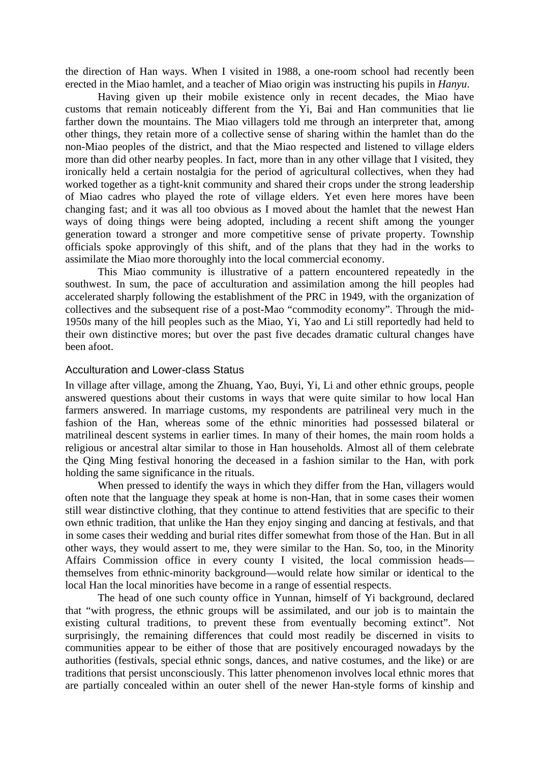the direction of Han ways. When I visited in 1988, a one-room school had recently been erected in the Miao hamlet, and a teacher of Miao origin was instructing his pupils in *Hanyu*.

Having given up their mobile existence only in recent decades, the Miao have customs that remain noticeably different from the Yi, Bai and Han communities that lie farther down the mountains. The Miao villagers told me through an interpreter that, among other things, they retain more of a collective sense of sharing within the hamlet than do the non-Miao peoples of the district, and that the Miao respected and listened to village elders more than did other nearby peoples. In fact, more than in any other village that I visited, they ironically held a certain nostalgia for the period of agricultural collectives, when they had worked together as a tight-knit community and shared their crops under the strong leadership of Miao cadres who played the rote of village elders. Yet even here mores have been changing fast; and it was all too obvious as I moved about the hamlet that the newest Han ways of doing things were being adopted, including a recent shift among the younger generation toward a stronger and more competitive sense of private property. Township officials spoke approvingly of this shift, and of the plans that they had in the works to assimilate the Miao more thoroughly into the local commercial economy.

This Miao community is illustrative of a pattern encountered repeatedly in the southwest. In sum, the pace of acculturation and assimilation among the hill peoples had accelerated sharply following the establishment of the PRC in 1949, with the organization of collectives and the subsequent rise of a post-Mao "commodity economy". Through the mid-1950*s* many of the hill peoples such as the Miao, Yi, Yao and Li still reportedly had held to their own distinctive mores; but over the past five decades dramatic cultural changes have been afoot.

#### Acculturation and Lower-class Status

In village after village, among the Zhuang, Yao, Buyi, Yi, Li and other ethnic groups, people answered questions about their customs in ways that were quite similar to how local Han farmers answered. In marriage customs, my respondents are patrilineal very much in the fashion of the Han, whereas some of the ethnic minorities had possessed bilateral or matrilineal descent systems in earlier times. In many of their homes, the main room holds a religious or ancestral altar similar to those in Han households. Almost all of them celebrate the Qing Ming festival honoring the deceased in a fashion similar to the Han, with pork holding the same significance in the rituals.

When pressed to identify the ways in which they differ from the Han, villagers would often note that the language they speak at home is non-Han, that in some cases their women still wear distinctive clothing, that they continue to attend festivities that are specific to their own ethnic tradition, that unlike the Han they enjoy singing and dancing at festivals, and that in some cases their wedding and burial rites differ somewhat from those of the Han. But in all other ways, they would assert to me, they were similar to the Han. So, too, in the Minority Affairs Commission office in every county I visited, the local commission heads themselves from ethnic-minority background—would relate how similar or identical to the local Han the local minorities have become in a range of essential respects.

The head of one such county office in Yunnan, himself of Yi background, declared that "with progress, the ethnic groups will be assimilated, and our job is to maintain the existing cultural traditions, to prevent these from eventually becoming extinct". Not surprisingly, the remaining differences that could most readily be discerned in visits to communities appear to be either of those that are positively encouraged nowadays by the authorities (festivals, special ethnic songs, dances, and native costumes, and the like) or are traditions that persist unconsciously. This latter phenomenon involves local ethnic mores that are partially concealed within an outer shell of the newer Han-style forms of kinship and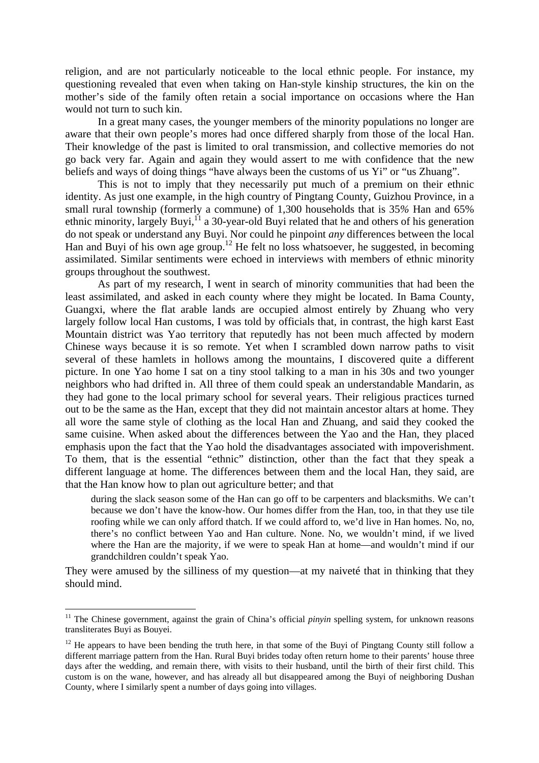religion, and are not particularly noticeable to the local ethnic people. For instance, my questioning revealed that even when taking on Han-style kinship structures, the kin on the mother's side of the family often retain a social importance on occasions where the Han would not turn to such kin.

In a great many cases, the younger members of the minority populations no longer are aware that their own people's mores had once differed sharply from those of the local Han. Their knowledge of the past is limited to oral transmission, and collective memories do not go back very far. Again and again they would assert to me with confidence that the new beliefs and ways of doing things "have always been the customs of us Yi" or "us Zhuang".

This is not to imply that they necessarily put much of a premium on their ethnic identity. As just one example, in the high country of Pingtang County, Guizhou Province, in a small rural township (formerly a commune) of 1,300 households that is 35*%* Han and 65% ethnic minority, largely Buyi,<sup>11</sup> a 30-year-old Buyi related that he and others of his generation do not speak or understand any Buyi. Nor could he pinpoint *any* differences between the local Han and Buyi of his own age group.<sup>12</sup> He felt no loss whatsoever, he suggested, in becoming assimilated. Similar sentiments were echoed in interviews with members of ethnic minority groups throughout the southwest.

As part of my research, I went in search of minority communities that had been the least assimilated, and asked in each county where they might be located. In Bama County, Guangxi, where the flat arable lands are occupied almost entirely by Zhuang who very largely follow local Han customs, I was told by officials that, in contrast, the high karst East Mountain district was Yao territory that reputedly has not been much affected by modern Chinese ways because it is so remote. Yet when I scrambled down narrow paths to visit several of these hamlets in hollows among the mountains, I discovered quite a different picture. In one Yao home I sat on a tiny stool talking to a man in his 30s and two younger neighbors who had drifted in. All three of them could speak an understandable Mandarin, as they had gone to the local primary school for several years. Their religious practices turned out to be the same as the Han, except that they did not maintain ancestor altars at home. They all wore the same style of clothing as the local Han and Zhuang, and said they cooked the same cuisine. When asked about the differences between the Yao and the Han, they placed emphasis upon the fact that the Yao hold the disadvantages associated with impoverishment. To them, that is the essential "ethnic" distinction, other than the fact that they speak a different language at home. The differences between them and the local Han, they said, are that the Han know how to plan out agriculture better; and that

during the slack season some of the Han can go off to be carpenters and blacksmiths. We can't because we don't have the know-how. Our homes differ from the Han, too, in that they use tile roofing while we can only afford thatch. If we could afford to, we'd live in Han homes. No, no, there's no conflict between Yao and Han culture. None. No, we wouldn't mind, if we lived where the Han are the majority, if we were to speak Han at home—and wouldn't mind if our grandchildren couldn't speak Yao.

They were amused by the silliness of my question—at my naiveté that in thinking that they should mind.

<span id="page-6-0"></span><sup>&</sup>lt;sup>11</sup> The Chinese government, against the grain of China's official *pinyin* spelling system, for unknown reasons transliterates Buyi as Bouyei.

<span id="page-6-1"></span><sup>&</sup>lt;sup>12</sup> He appears to have been bending the truth here, in that some of the Buyi of Pingtang County still follow a different marriage pattern from the Han. Rural Buyi brides today often return home to their parents' house three days after the wedding, and remain there, with visits to their husband, until the birth of their first child. This custom is on the wane, however, and has already all but disappeared among the Buyi of neighboring Dushan County, where I similarly spent a number of days going into villages.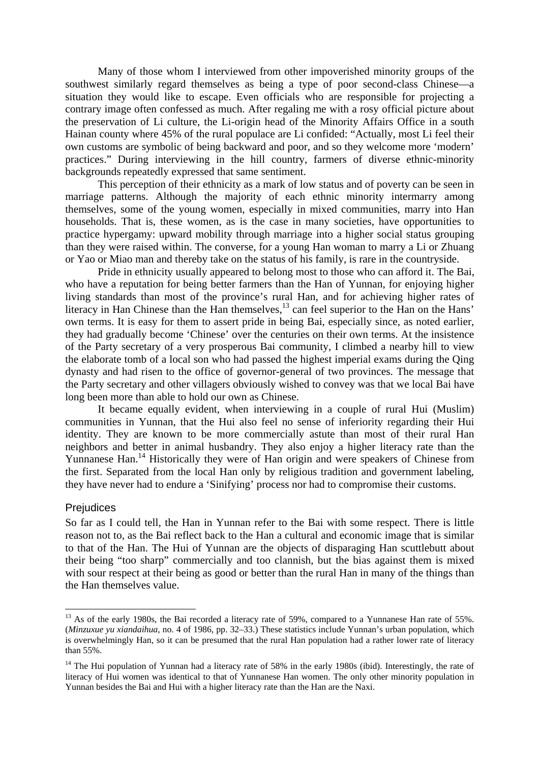Many of those whom I interviewed from other impoverished minority groups of the southwest similarly regard themselves as being a type of poor second-class Chinese—a situation they would like to escape. Even officials who are responsible for projecting a contrary image often confessed as much. After regaling me with a rosy official picture about the preservation of Li culture, the Li-origin head of the Minority Affairs Office in a south Hainan county where 45% of the rural populace are Li confided: "Actually, most Li feel their own customs are symbolic of being backward and poor, and so they welcome more 'modern' practices." During interviewing in the hill country, farmers of diverse ethnic-minority backgrounds repeatedly expressed that same sentiment.

This perception of their ethnicity as a mark of low status and of poverty can be seen in marriage patterns. Although the majority of each ethnic minority intermarry among themselves, some of the young women, especially in mixed communities, marry into Han households. That is, these women, as is the case in many societies, have opportunities to practice hypergamy: upward mobility through marriage into a higher social status grouping than they were raised within. The converse, for a young Han woman to marry a Li or Zhuang or Yao or Miao man and thereby take on the status of his family, is rare in the countryside.

Pride in ethnicity usually appeared to belong most to those who can afford it. The Bai, who have a reputation for being better farmers than the Han of Yunnan, for enjoying higher living standards than most of the province's rural Han, and for achieving higher rates of literacy in Han Chinese than the Han themselves,<sup>13</sup> can feel superior to the Han on the Hans' own terms. It is easy for them to assert pride in being Bai, especially since, as noted earlier, they had gradually become 'Chinese' over the centuries on their own terms. At the insistence of the Party secretary of a very prosperous Bai community, I climbed a nearby hill to view the elaborate tomb of a local son who had passed the highest imperial exams during the Qing dynasty and had risen to the office of governor-general of two provinces. The message that the Party secretary and other villagers obviously wished to convey was that we local Bai have long been more than able to hold our own as Chinese.

It became equally evident, when interviewing in a couple of rural Hui (Muslim) communities in Yunnan, that the Hui also feel no sense of inferiority regarding their Hui identity. They are known to be more commercially astute than most of their rural Han neighbors and better in animal husbandry. They also enjoy a higher literacy rate than the Yunnanese Han.<sup>14</sup> Historically they were of Han origin and were speakers of Chinese from the first. Separated from the local Han only by religious tradition and government labeling, they have never had to endure a 'Sinifying' process nor had to compromise their customs.

#### **Prejudices**

 $\overline{a}$ 

So far as I could tell, the Han in Yunnan refer to the Bai with some respect. There is little reason not to, as the Bai reflect back to the Han a cultural and economic image that is similar to that of the Han. The Hui of Yunnan are the objects of disparaging Han scuttlebutt about their being "too sharp" commercially and too clannish, but the bias against them is mixed with sour respect at their being as good or better than the rural Han in many of the things than the Han themselves value.

<span id="page-7-0"></span><sup>&</sup>lt;sup>13</sup> As of the early 1980s, the Bai recorded a literacy rate of 59%, compared to a Yunnanese Han rate of 55%. (*Minzuxue yu xiandaihua*, no. 4 of 1986, pp. 32–33.) These statistics include Yunnan's urban population, which is overwhelmingly Han, so it can be presumed that the rural Han population had a rather lower rate of literacy than 55%.

<span id="page-7-1"></span><sup>&</sup>lt;sup>14</sup> The Hui population of Yunnan had a literacy rate of 58% in the early 1980s (ibid). Interestingly, the rate of literacy of Hui women was identical to that of Yunnanese Han women. The only other minority population in Yunnan besides the Bai and Hui with a higher literacy rate than the Han are the Naxi.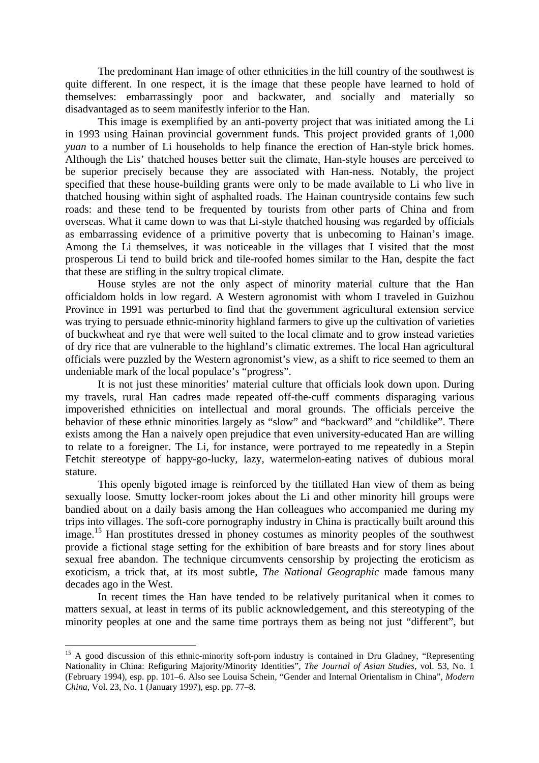The predominant Han image of other ethnicities in the hill country of the southwest is quite different. In one respect, it is the image that these people have learned to hold of themselves: embarrassingly poor and backwater, and socially and materially so disadvantaged as to seem manifestly inferior to the Han.

This image is exemplified by an anti-poverty project that was initiated among the Li in 1993 using Hainan provincial government funds. This project provided grants of 1,000 *yuan* to a number of Li households to help finance the erection of Han-style brick homes. Although the Lis' thatched houses better suit the climate, Han-style houses are perceived to be superior precisely because they are associated with Han-ness. Notably, the project specified that these house-building grants were only to be made available to Li who live in thatched housing within sight of asphalted roads. The Hainan countryside contains few such roads: and these tend to be frequented by tourists from other parts of China and from overseas. What it came down to was that Li-style thatched housing was regarded by officials as embarrassing evidence of a primitive poverty that is unbecoming to Hainan's image. Among the Li themselves, it was noticeable in the villages that I visited that the most prosperous Li tend to build brick and tile-roofed homes similar to the Han, despite the fact that these are stifling in the sultry tropical climate.

House styles are not the only aspect of minority material culture that the Han officialdom holds in low regard. A Western agronomist with whom I traveled in Guizhou Province in 1991 was perturbed to find that the government agricultural extension service was trying to persuade ethnic-minority highland farmers to give up the cultivation of varieties of buckwheat and rye that were well suited to the local climate and to grow instead varieties of dry rice that are vulnerable to the highland's climatic extremes. The local Han agricultural officials were puzzled by the Western agronomist's view, as a shift to rice seemed to them an undeniable mark of the local populace's "progress".

It is not just these minorities' material culture that officials look down upon. During my travels, rural Han cadres made repeated off-the-cuff comments disparaging various impoverished ethnicities on intellectual and moral grounds. The officials perceive the behavior of these ethnic minorities largely as "slow" and "backward" and "childlike". There exists among the Han a naively open prejudice that even university-educated Han are willing to relate to a foreigner. The Li, for instance, were portrayed to me repeatedly in a Stepin Fetchit stereotype of happy-go-lucky, lazy, watermelon-eating natives of dubious moral stature.

This openly bigoted image is reinforced by the titillated Han view of them as being sexually loose. Smutty locker-room jokes about the Li and other minority hill groups were bandied about on a daily basis among the Han colleagues who accompanied me during my trips into villages. The soft-core pornography industry in China is practically built around this image.<sup>15</sup> Han prostitutes dressed in phoney costumes as minority peoples of the southwest provide a fictional stage setting for the exhibition of bare breasts and for story lines about sexual free abandon. The technique circumvents censorship by projecting the eroticism as exoticism, a trick that, at its most subtle, *The National Geographic* made famous many decades ago in the West.

In recent times the Han have tended to be relatively puritanical when it comes to matters sexual, at least in terms of its public acknowledgement, and this stereotyping of the minority peoples at one and the same time portrays them as being not just "different", but

<span id="page-8-0"></span><sup>&</sup>lt;sup>15</sup> A good discussion of this ethnic-minority soft-porn industry is contained in Dru Gladney, "Representing" Nationality in China: Refiguring Majority/Minority Identities", *The Journal of Asian Studies*, vol. 53, No. 1 (February 1994), esp. pp. 101–6. Also see Louisa Schein, "Gender and Internal Orientalism in China", *Modern China*, Vol. 23, No. 1 (January 1997), esp. pp. 77–8.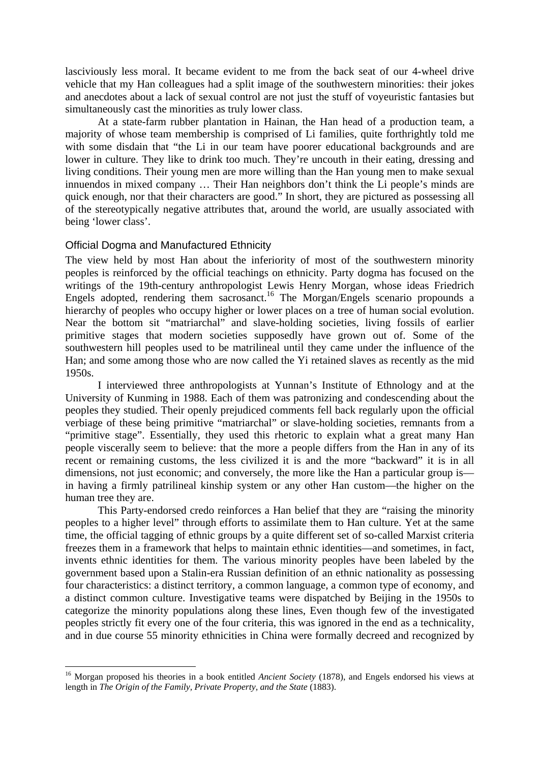lasciviously less moral. It became evident to me from the back seat of our 4-wheel drive vehicle that my Han colleagues had a split image of the southwestern minorities: their jokes and anecdotes about a lack of sexual control are not just the stuff of voyeuristic fantasies but simultaneously cast the minorities as truly lower class.

At a state-farm rubber plantation in Hainan, the Han head of a production team, a majority of whose team membership is comprised of Li families, quite forthrightly told me with some disdain that "the Li in our team have poorer educational backgrounds and are lower in culture. They like to drink too much. They're uncouth in their eating, dressing and living conditions. Their young men are more willing than the Han young men to make sexual innuendos in mixed company … Their Han neighbors don't think the Li people's minds are quick enough, nor that their characters are good." In short, they are pictured as possessing all of the stereotypically negative attributes that, around the world, are usually associated with being 'lower class'.

### Official Dogma and Manufactured Ethnicity

 $\overline{a}$ 

The view held by most Han about the inferiority of most of the southwestern minority peoples is reinforced by the official teachings on ethnicity. Party dogma has focused on the writings of the 19th-century anthropologist Lewis Henry Morgan, whose ideas Friedrich Engels adopted, rendering them sacrosanct.<sup>16</sup> The Morgan/Engels scenario propounds a hierarchy of peoples who occupy higher or lower places on a tree of human social evolution. Near the bottom sit "matriarchal" and slave-holding societies, living fossils of earlier primitive stages that modern societies supposedly have grown out of. Some of the southwestern hill peoples used to be matrilineal until they came under the influence of the Han; and some among those who are now called the Yi retained slaves as recently as the mid 1950s.

I interviewed three anthropologists at Yunnan's Institute of Ethnology and at the University of Kunming in 1988. Each of them was patronizing and condescending about the peoples they studied. Their openly prejudiced comments fell back regularly upon the official verbiage of these being primitive "matriarchal" or slave-holding societies, remnants from a "primitive stage". Essentially, they used this rhetoric to explain what a great many Han people viscerally seem to believe: that the more a people differs from the Han in any of its recent or remaining customs, the less civilized it is and the more "backward" it is in all dimensions, not just economic; and conversely, the more like the Han a particular group is in having a firmly patrilineal kinship system or any other Han custom—the higher on the human tree they are.

This Party-endorsed credo reinforces a Han belief that they are "raising the minority peoples to a higher level" through efforts to assimilate them to Han culture. Yet at the same time, the official tagging of ethnic groups by a quite different set of so-called Marxist criteria freezes them in a framework that helps to maintain ethnic identities—and sometimes, in fact, invents ethnic identities for them. The various minority peoples have been labeled by the government based upon a Stalin-era Russian definition of an ethnic nationality as possessing four characteristics: a distinct territory, a common language, a common type of economy, and a distinct common culture. Investigative teams were dispatched by Beijing in the 1950s to categorize the minority populations along these lines, Even though few of the investigated peoples strictly fit every one of the four criteria, this was ignored in the end as a technicality, and in due course 55 minority ethnicities in China were formally decreed and recognized by

<span id="page-9-0"></span><sup>&</sup>lt;sup>16</sup> Morgan proposed his theories in a book entitled *Ancient Society* (1878), and Engels endorsed his views at length in *The Origin of the Family, Private Property, and the State* (1883).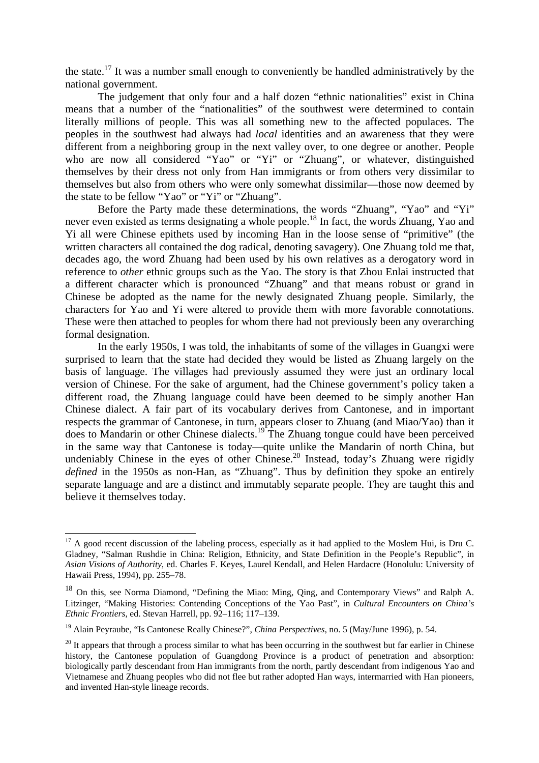the state.<sup>17</sup> It was a number small enough to conveniently be handled administratively by the national government.

The judgement that only four and a half dozen "ethnic nationalities" exist in China means that a number of the "nationalities" of the southwest were determined to contain literally millions of people. This was all something new to the affected populaces. The peoples in the southwest had always had *local* identities and an awareness that they were different from a neighboring group in the next valley over, to one degree or another. People who are now all considered "Yao" or "Yi" or "Zhuang", or whatever, distinguished themselves by their dress not only from Han immigrants or from others very dissimilar to themselves but also from others who were only somewhat dissimilar—those now deemed by the state to be fellow "Yao" or "Yi" or "Zhuang".

Before the Party made these determinations, the words "Zhuang", "Yao" and "Yi" never even existed as terms designating a whole people.<sup>18</sup> In fact, the words Zhuang, Yao and Yi all were Chinese epithets used by incoming Han in the loose sense of "primitive" (the written characters all contained the dog radical, denoting savagery). One Zhuang told me that, decades ago, the word Zhuang had been used by his own relatives as a derogatory word in reference to *other* ethnic groups such as the Yao. The story is that Zhou Enlai instructed that a different character which is pronounced "Zhuang" and that means robust or grand in Chinese be adopted as the name for the newly designated Zhuang people. Similarly, the characters for Yao and Yi were altered to provide them with more favorable connotations. These were then attached to peoples for whom there had not previously been any overarching formal designation.

In the early 1950s, I was told, the inhabitants of some of the villages in Guangxi were surprised to learn that the state had decided they would be listed as Zhuang largely on the basis of language. The villages had previously assumed they were just an ordinary local version of Chinese. For the sake of argument, had the Chinese government's policy taken a different road, the Zhuang language could have been deemed to be simply another Han Chinese dialect. A fair part of its vocabulary derives from Cantonese, and in important respects the grammar of Cantonese, in turn, appears closer to Zhuang (and Miao/Yao) than it does to Mandarin or other Chinese dialects.<sup>19</sup> The Zhuang tongue could have been perceived in the same way that Cantonese is today—quite unlike the Mandarin of north China, but undeniably Chinese in the eyes of other Chinese.<sup>20</sup> Instead, today's Zhuang were rigidly *defined* in the 1950s as non-Han, as "Zhuang". Thus by definition they spoke an entirely separate language and are a distinct and immutably separate people. They are taught this and believe it themselves today.

<span id="page-10-0"></span> $17$  A good recent discussion of the labeling process, especially as it had applied to the Moslem Hui, is Dru C. Gladney, "Salman Rushdie in China: Religion, Ethnicity, and State Definition in the People's Republic", in *Asian Visions of Authority*, ed. Charles F. Keyes, Laurel Kendall, and Helen Hardacre (Honolulu: University of Hawaii Press, 1994), pp. 255–78.

<span id="page-10-1"></span><sup>&</sup>lt;sup>18</sup> On this, see Norma Diamond, "Defining the Miao: Ming, Qing, and Contemporary Views" and Ralph A. Litzinger, "Making Histories: Contending Conceptions of the Yao Past", in *Cultural Encounters on China's Ethnic Frontiers*, ed. Stevan Harrell, pp. 92–116; 117–139.

<span id="page-10-2"></span><sup>19</sup> Alain Peyraube, "Is Cantonese Really Chinese?", *China Perspectives*, no. 5 (May/June 1996), p. 54.

<span id="page-10-3"></span> $20$  It appears that through a process similar to what has been occurring in the southwest but far earlier in Chinese history, the Cantonese population of Guangdong Province is a product of penetration and absorption: biologically partly descendant from Han immigrants from the north, partly descendant from indigenous Yao and Vietnamese and Zhuang peoples who did not flee but rather adopted Han ways, intermarried with Han pioneers, and invented Han-style lineage records.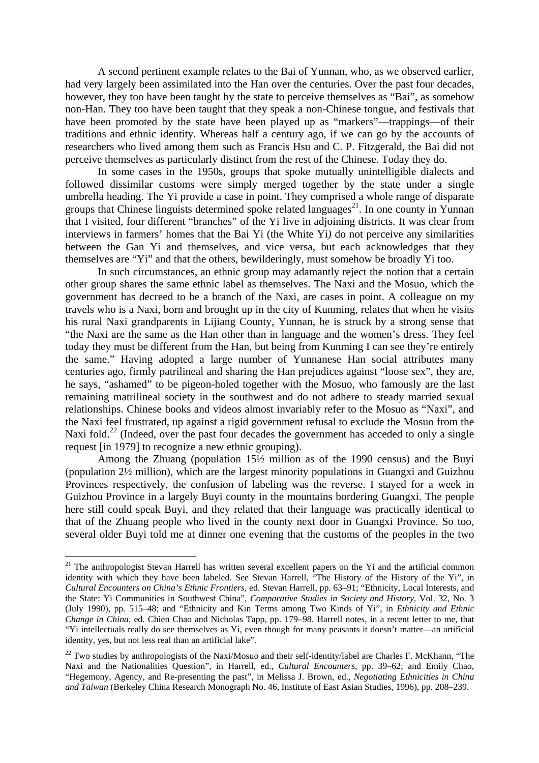A second pertinent example relates to the Bai of Yunnan, who, as we observed earlier, had very largely been assimilated into the Han over the centuries. Over the past four decades, however, they too have been taught by the state to perceive themselves as "Bai", as somehow non-Han. They too have been taught that they speak a non-Chinese tongue, and festivals that have been promoted by the state have been played up as "markers"—trappings—of their traditions and ethnic identity. Whereas half a century ago, if we can go by the accounts of researchers who lived among them such as Francis Hsu and C. P. Fitzgerald, the Bai did not perceive themselves as particularly distinct from the rest of the Chinese. Today they do.

In some cases in the 1950s*,* groups that spoke mutually unintelligible dialects and followed dissimilar customs were simply merged together by the state under a single umbrella heading. The Yi provide a case in point. They comprised a whole range of disparate groups that Chinese linguists determined spoke related languages<sup>21</sup>. In one county in Yunnan that I visited, four different "branches" of the Yi live in adjoining districts. It was clear from interviews in farmers' homes that the Bai Yi (the White Yi*)* do not perceive any similarities between the Gan Yi and themselves, and vice versa, but each acknowledges that they themselves are "Yi" and that the others, bewilderingly, must somehow be broadly Yi too.

In such circumstances, an ethnic group may adamantly reject the notion that a certain other group shares the same ethnic label as themselves. The Naxi and the Mosuo, which the government has decreed to be a branch of the Naxi, are cases in point. A colleague on my travels who is a Naxi, born and brought up in the city of Kunming, relates that when he visits his rural Naxi grandparents in Lijiang County, Yunnan, he is struck by a strong sense that "the Naxi are the same as the Han other than in language and the women's dress. They feel today they must be different from the Han, but being from Kunming I can see they're entirely the same." Having adopted a large number of Yunnanese Han social attributes many centuries ago, firmly patrilineal and sharing the Han prejudices against "loose sex", they are, he says, "ashamed" to be pigeon-holed together with the Mosuo, who famously are the last remaining matrilineal society in the southwest and do not adhere to steady married sexual relationships. Chinese books and videos almost invariably refer to the Mosuo as "Naxi", and the Naxi feel frustrated, up against a rigid government refusal to exclude the Mosuo from the Naxi fold.<sup>22</sup> (Indeed, over the past four decades the government has acceded to only a single request [in 1979] to recognize a new ethnic grouping).

Among the Zhuang (population 15½ million as of the 1990 census) and the Buyi (population 2½ million), which are the largest minority populations in Guangxi and Guizhou Provinces respectively, the confusion of labeling was the reverse. I stayed for a week in Guizhou Province in a largely Buyi county in the mountains bordering Guangxi. The people here still could speak Buyi, and they related that their language was practically identical to that of the Zhuang people who lived in the county next door in Guangxi Province. So too, several older Buyi told me at dinner one evening that the customs of the peoples in the two

<span id="page-11-0"></span><sup>&</sup>lt;sup>21</sup> The anthropologist Stevan Harrell has written several excellent papers on the Yi and the artificial common identity with which they have been labeled. See Stevan Harrell, "The History of the History of the Yi", in *Cultural Encounters on China's Ethnic Frontiers*, ed. Stevan Harrell, pp. 63–91; "Ethnicity, Local Interests, and the State: Yi Communities in Southwest China", *Comparative Studies in Society and History*, Vol. 32, No. 3 (July 1990), pp. 515–48; and "Ethnicity and Kin Terms among Two Kinds of Yi", in *Ethnicity and Ethnic Change in China*, ed. Chien Chao and Nicholas Tapp, pp. 179–98. Harrell notes, in a recent letter to me, that "Yi intellectuals really do see themselves as Yi*,* even though for many peasants it doesn't matter—an artificial identity, yes, but not less real than an artificial lake".

<span id="page-11-1"></span><sup>&</sup>lt;sup>22</sup> Two studies by anthropologists of the Naxi/Mosuo and their self-identity/label are Charles F. McKhann, "The Naxi and the Nationalities Question", in Harrell, ed., *Cultural Encounters*, pp. 39–62; and Emily Chao, "Hegemony, Agency, and Re-presenting the past", in Melissa J. Brown, ed., *Negotiating Ethnicities in China and Taiwan* (Berkeley China Research Monograph No. 46, Institute of East Asian Studies, 1996), pp. 208–239.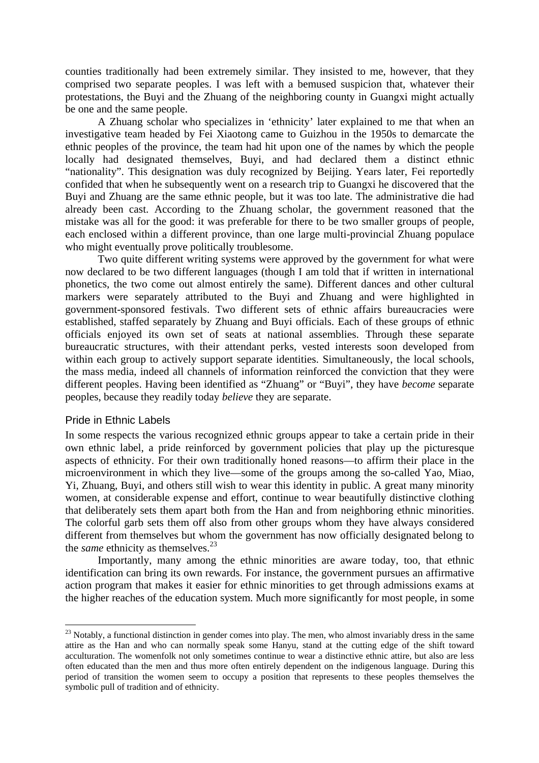counties traditionally had been extremely similar. They insisted to me, however, that they comprised two separate peoples. I was left with a bemused suspicion that, whatever their protestations, the Buyi and the Zhuang of the neighboring county in Guangxi might actually be one and the same people.

A Zhuang scholar who specializes in 'ethnicity' later explained to me that when an investigative team headed by Fei Xiaotong came to Guizhou in the 1950s to demarcate the ethnic peoples of the province, the team had hit upon one of the names by which the people locally had designated themselves, Buyi, and had declared them a distinct ethnic "nationality". This designation was duly recognized by Beijing. Years later, Fei reportedly confided that when he subsequently went on a research trip to Guangxi he discovered that the Buyi and Zhuang are the same ethnic people, but it was too late. The administrative die had already been cast. According to the Zhuang scholar, the government reasoned that the mistake was all for the good: it was preferable for there to be two smaller groups of people, each enclosed within a different province, than one large multi-provincial Zhuang populace who might eventually prove politically troublesome.

Two quite different writing systems were approved by the government for what were now declared to be two different languages (though I am told that if written in international phonetics, the two come out almost entirely the same). Different dances and other cultural markers were separately attributed to the Buyi and Zhuang and were highlighted in government-sponsored festivals. Two different sets of ethnic affairs bureaucracies were established, staffed separately by Zhuang and Buyi officials. Each of these groups of ethnic officials enjoyed its own set of seats at national assemblies. Through these separate bureaucratic structures, with their attendant perks, vested interests soon developed from within each group to actively support separate identities. Simultaneously, the local schools, the mass media, indeed all channels of information reinforced the conviction that they were different peoples. Having been identified as "Zhuang" or "Buyi", they have *become* separate peoples, because they readily today *believe* they are separate.

#### Pride in Ethnic Labels

 $\overline{a}$ 

In some respects the various recognized ethnic groups appear to take a certain pride in their own ethnic label, a pride reinforced by government policies that play up the picturesque aspects of ethnicity. For their own traditionally honed reasons—to affirm their place in the microenvironment in which they live—some of the groups among the so-called Yao, Miao, Yi, Zhuang, Buyi, and others still wish to wear this identity in public. A great many minority women, at considerable expense and effort, continue to wear beautifully distinctive clothing that deliberately sets them apart both from the Han and from neighboring ethnic minorities. The colorful garb sets them off also from other groups whom they have always considered different from themselves but whom the government has now officially designated belong to the *same* ethnicity as themselves.<sup>[23](#page-12-0)</sup>

Importantly, many among the ethnic minorities are aware today, too, that ethnic identification can bring its own rewards. For instance, the government pursues an affirmative action program that makes it easier for ethnic minorities to get through admissions exams at the higher reaches of the education system. Much more significantly for most people, in some

<span id="page-12-0"></span> $^{23}$  Notably, a functional distinction in gender comes into play. The men, who almost invariably dress in the same attire as the Han and who can normally speak some Hanyu, stand at the cutting edge of the shift toward acculturation. The womenfolk not only sometimes continue to wear a distinctive ethnic attire, but also are less often educated than the men and thus more often entirely dependent on the indigenous language. During this period of transition the women seem to occupy a position that represents to these peoples themselves the symbolic pull of tradition and of ethnicity.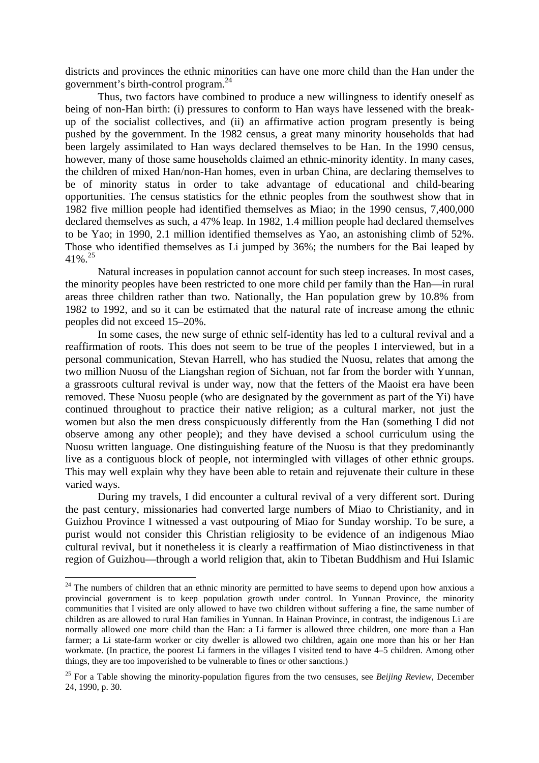districts and provinces the ethnic minorities can have one more child than the Han under the government's birth-control program.[24](#page-13-0)

Thus, two factors have combined to produce a new willingness to identify oneself as being of non-Han birth: (i) pressures to conform to Han ways have lessened with the breakup of the socialist collectives, and (ii) an affirmative action program presently is being pushed by the government. In the 1982 census, a great many minority households that had been largely assimilated to Han ways declared themselves to be Han. In the 1990 census, however, many of those same households claimed an ethnic-minority identity. In many cases, the children of mixed Han/non-Han homes, even in urban China, are declaring themselves to be of minority status in order to take advantage of educational and child-bearing opportunities. The census statistics for the ethnic peoples from the southwest show that in 1982 five million people had identified themselves as Miao; in the 1990 census, 7,400,000 declared themselves as such, a 47% leap. In 1982, 1.4 million people had declared themselves to be Yao; in 1990, 2.1 million identified themselves as Yao, an astonishing climb of 52%. Those who identified themselves as Li jumped by 36%; the numbers for the Bai leaped by  $41\%$ <sup>25</sup>

Natural increases in population cannot account for such steep increases. In most cases, the minority peoples have been restricted to one more child per family than the Han—in rural areas three children rather than two. Nationally, the Han population grew by 10.8% from 1982 to 1992, and so it can be estimated that the natural rate of increase among the ethnic peoples did not exceed 15–20%.

In some cases, the new surge of ethnic self-identity has led to a cultural revival and a reaffirmation of roots. This does not seem to be true of the peoples I interviewed, but in a personal communication, Stevan Harrell, who has studied the Nuosu, relates that among the two million Nuosu of the Liangshan region of Sichuan, not far from the border with Yunnan, a grassroots cultural revival is under way, now that the fetters of the Maoist era have been removed. These Nuosu people (who are designated by the government as part of the Yi) have continued throughout to practice their native religion; as a cultural marker, not just the women but also the men dress conspicuously differently from the Han (something I did not observe among any other people); and they have devised a school curriculum using the Nuosu written language. One distinguishing feature of the Nuosu is that they predominantly live as a contiguous block of people, not intermingled with villages of other ethnic groups. This may well explain why they have been able to retain and rejuvenate their culture in these varied ways.

During my travels, I did encounter a cultural revival of a very different sort. During the past century, missionaries had converted large numbers of Miao to Christianity, and in Guizhou Province I witnessed a vast outpouring of Miao for Sunday worship. To be sure, a purist would not consider this Christian religiosity to be evidence of an indigenous Miao cultural revival, but it nonetheless it is clearly a reaffirmation of Miao distinctiveness in that region of Guizhou—through a world religion that, akin to Tibetan Buddhism and Hui Islamic

<span id="page-13-0"></span> $24$  The numbers of children that an ethnic minority are permitted to have seems to depend upon how anxious a provincial government is to keep population growth under control. In Yunnan Province, the minority communities that I visited are only allowed to have two children without suffering a fine, the same number of children as are allowed to rural Han families in Yunnan. In Hainan Province, in contrast, the indigenous Li are normally allowed one more child than the Han: a Li farmer is allowed three children, one more than a Han farmer; a Li state-farm worker or city dweller is allowed two children, again one more than his or her Han workmate. (In practice, the poorest Li farmers in the villages I visited tend to have 4–5 children. Among other things, they are too impoverished to be vulnerable to fines or other sanctions.)

<span id="page-13-1"></span><sup>&</sup>lt;sup>25</sup> For a Table showing the minority-population figures from the two censuses, see *Beijing Review*, December 24, 1990, p. 30.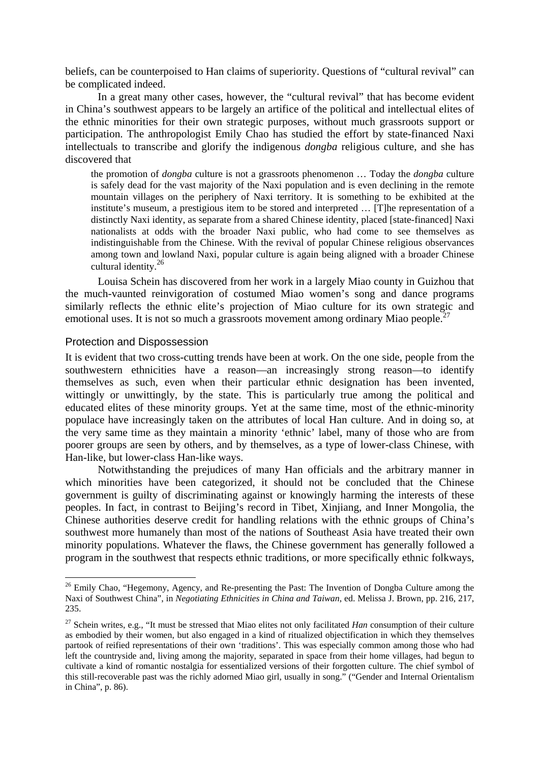beliefs, can be counterpoised to Han claims of superiority. Questions of "cultural revival" can be complicated indeed.

In a great many other cases, however, the "cultural revival" that has become evident in China's southwest appears to be largely an artifice of the political and intellectual elites of the ethnic minorities for their own strategic purposes, without much grassroots support or participation. The anthropologist Emily Chao has studied the effort by state-financed Naxi intellectuals to transcribe and glorify the indigenous *dongba* religious culture, and she has discovered that

the promotion of *dongba* culture is not a grassroots phenomenon … Today the *dongba* culture is safely dead for the vast majority of the Naxi population and is even declining in the remote mountain villages on the periphery of Naxi territory. It is something to be exhibited at the institute's museum, a prestigious item to be stored and interpreted … [T]he representation of a distinctly Naxi identity, as separate from a shared Chinese identity, placed [state-financed] Naxi nationalists at odds with the broader Naxi public, who had come to see themselves as indistinguishable from the Chinese. With the revival of popular Chinese religious observances among town and lowland Naxi, popular culture is again being aligned with a broader Chinese cultural identity[.26](#page-14-0)

Louisa Schein has discovered from her work in a largely Miao county in Guizhou that the much-vaunted reinvigoration of costumed Miao women's song and dance programs similarly reflects the ethnic elite's projection of Miao culture for its own strategic and emotional uses. It is not so much a grassroots movement among ordinary Miao people.<sup>[27](#page-14-1)</sup>

#### Protection and Dispossession

 $\overline{a}$ 

It is evident that two cross-cutting trends have been at work. On the one side, people from the southwestern ethnicities have a reason—an increasingly strong reason—to identify themselves as such, even when their particular ethnic designation has been invented, wittingly or unwittingly, by the state. This is particularly true among the political and educated elites of these minority groups. Yet at the same time, most of the ethnic-minority populace have increasingly taken on the attributes of local Han culture. And in doing so, at the very same time as they maintain a minority 'ethnic' label, many of those who are from poorer groups are seen by others, and by themselves, as a type of lower-class Chinese, with Han-like, but lower-class Han-like ways.

Notwithstanding the prejudices of many Han officials and the arbitrary manner in which minorities have been categorized, it should not be concluded that the Chinese government is guilty of discriminating against or knowingly harming the interests of these peoples. In fact, in contrast to Beijing's record in Tibet, Xinjiang, and Inner Mongolia, the Chinese authorities deserve credit for handling relations with the ethnic groups of China's southwest more humanely than most of the nations of Southeast Asia have treated their own minority populations. Whatever the flaws, the Chinese government has generally followed a program in the southwest that respects ethnic traditions, or more specifically ethnic folkways,

<span id="page-14-0"></span><sup>&</sup>lt;sup>26</sup> Emily Chao, "Hegemony, Agency, and Re-presenting the Past: The Invention of Dongba Culture among the Naxi of Southwest China", in *Negotiating Ethnicities in China and Taiwan*, ed. Melissa J. Brown, pp. 216, 217, 235.

<span id="page-14-1"></span><sup>&</sup>lt;sup>27</sup> Schein writes, e.g., "It must be stressed that Miao elites not only facilitated *Han* consumption of their culture as embodied by their women, but also engaged in a kind of ritualized objectification in which they themselves partook of reified representations of their own 'traditions'. This was especially common among those who had left the countryside and, living among the majority, separated in space from their home villages, had begun to cultivate a kind of romantic nostalgia for essentialized versions of their forgotten culture. The chief symbol of this still-recoverable past was the richly adorned Miao girl, usually in song." ("Gender and Internal Orientalism in China", p. 86).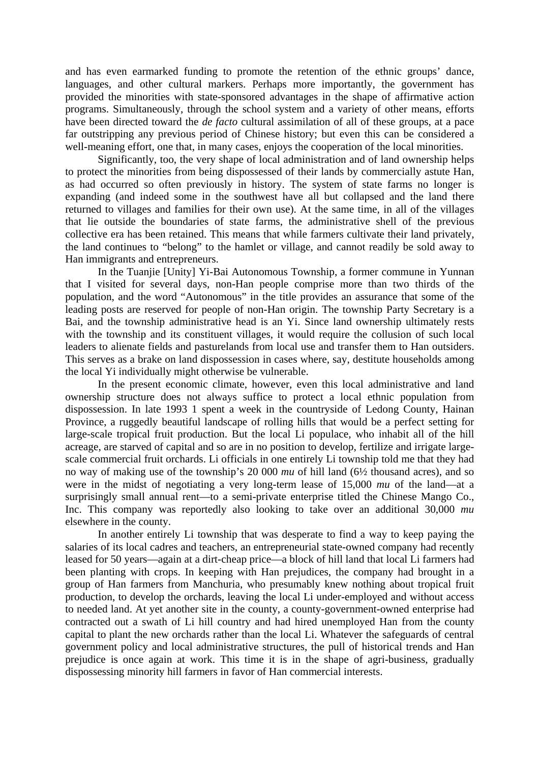and has even earmarked funding to promote the retention of the ethnic groups' dance, languages, and other cultural markers. Perhaps more importantly, the government has provided the minorities with state-sponsored advantages in the shape of affirmative action programs. Simultaneously, through the school system and a variety of other means, efforts have been directed toward the *de facto* cultural assimilation of all of these groups, at a pace far outstripping any previous period of Chinese history; but even this can be considered a well-meaning effort, one that, in many cases, enjoys the cooperation of the local minorities.

Significantly, too, the very shape of local administration and of land ownership helps to protect the minorities from being dispossessed of their lands by commercially astute Han, as had occurred so often previously in history. The system of state farms no longer is expanding (and indeed some in the southwest have all but collapsed and the land there returned to villages and families for their own use). At the same time, in all of the villages that lie outside the boundaries of state farms, the administrative shell of the previous collective era has been retained. This means that while farmers cultivate their land privately, the land continues to "belong" to the hamlet or village, and cannot readily be sold away to Han immigrants and entrepreneurs.

In the Tuanjie [Unity] Yi-Bai Autonomous Township, a former commune in Yunnan that I visited for several days, non-Han people comprise more than two thirds of the population, and the word "Autonomous" in the title provides an assurance that some of the leading posts are reserved for people of non-Han origin. The township Party Secretary is a Bai, and the township administrative head is an Yi. Since land ownership ultimately rests with the township and its constituent villages, it would require the collusion of such local leaders to alienate fields and pasturelands from local use and transfer them to Han outsiders. This serves as a brake on land dispossession in cases where, say, destitute households among the local Yi individually might otherwise be vulnerable.

In the present economic climate, however, even this local administrative and land ownership structure does not always suffice to protect a local ethnic population from dispossession. In late 1993 1 spent a week in the countryside of Ledong County, Hainan Province, a ruggedly beautiful landscape of rolling hills that would be a perfect setting for large-scale tropical fruit production. But the local Li populace, who inhabit all of the hill acreage, are starved of capital and so are in no position to develop, fertilize and irrigate largescale commercial fruit orchards. Li officials in one entirely Li township told me that they had no way of making use of the township's 20 000 *mu* of hill land (6½ thousand acres), and so were in the midst of negotiating a very long-term lease of 15,000 *mu* of the land—at a surprisingly small annual rent—to a semi-private enterprise titled the Chinese Mango Co., Inc. This company was reportedly also looking to take over an additional 30,000 *mu* elsewhere in the county.

In another entirely Li township that was desperate to find a way to keep paying the salaries of its local cadres and teachers, an entrepreneurial state-owned company had recently leased for 50 years—again at a dirt-cheap price—a block of hill land that local Li farmers had been planting with crops. In keeping with Han prejudices, the company had brought in a group of Han farmers from Manchuria, who presumably knew nothing about tropical fruit production, to develop the orchards, leaving the local Li under-employed and without access to needed land. At yet another site in the county, a county-government-owned enterprise had contracted out a swath of Li hill country and had hired unemployed Han from the county capital to plant the new orchards rather than the local Li. Whatever the safeguards of central government policy and local administrative structures, the pull of historical trends and Han prejudice is once again at work. This time it is in the shape of agri-business, gradually dispossessing minority hill farmers in favor of Han commercial interests.